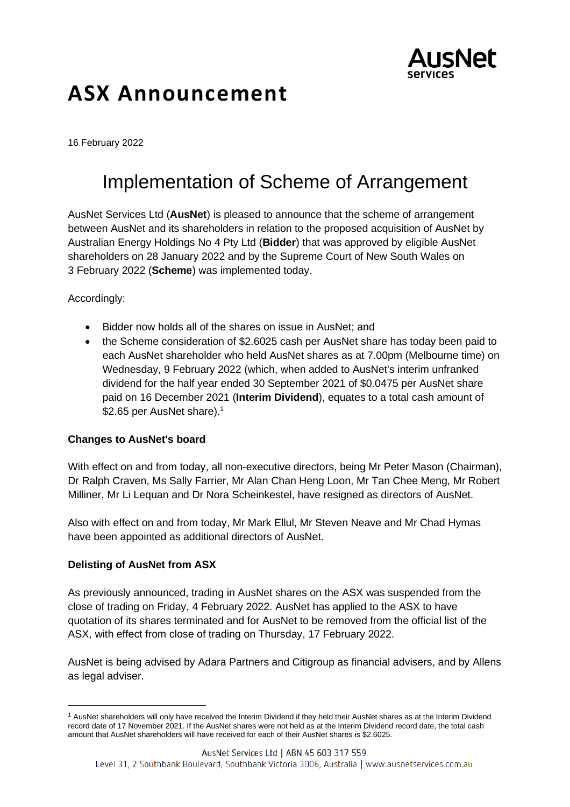

# **ASX Announcement**

16 February 2022

## Implementation of Scheme of Arrangement

AusNet Services Ltd (**AusNet**) is pleased to announce that the scheme of arrangement between AusNet and its shareholders in relation to the proposed acquisition of AusNet by Australian Energy Holdings No 4 Pty Ltd (**Bidder**) that was approved by eligible AusNet shareholders on 28 January 2022 and by the Supreme Court of New South Wales on 3 February 2022 (**Scheme**) was implemented today.

### Accordingly:

- Bidder now holds all of the shares on issue in AusNet; and
- the Scheme consideration of \$2.6025 cash per AusNet share has today been paid to each AusNet shareholder who held AusNet shares as at 7.00pm (Melbourne time) on Wednesday, 9 February 2022 (which, when added to AusNet's interim unfranked dividend for the half year ended 30 September 2021 of \$0.0475 per AusNet share paid on 16 December 2021 (**Interim Dividend**), equates to a total cash amount of \$2.65 per AusNet share). $1$

#### **Changes to AusNet's board**

With effect on and from today, all non-executive directors, being Mr Peter Mason (Chairman), Dr Ralph Craven, Ms Sally Farrier, Mr Alan Chan Heng Loon, Mr Tan Chee Meng, Mr Robert Milliner, Mr Li Lequan and Dr Nora Scheinkestel, have resigned as directors of AusNet.

Also with effect on and from today, Mr Mark Ellul, Mr Steven Neave and Mr Chad Hymas have been appointed as additional directors of AusNet.

#### **Delisting of AusNet from ASX**

As previously announced, trading in AusNet shares on the ASX was suspended from the close of trading on Friday, 4 February 2022. AusNet has applied to the ASX to have quotation of its shares terminated and for AusNet to be removed from the official list of the ASX, with effect from close of trading on Thursday, 17 February 2022.

AusNet is being advised by Adara Partners and Citigroup as financial advisers, and by Allens as legal adviser.

<sup>&</sup>lt;sup>1</sup> AusNet shareholders will only have received the Interim Dividend if they held their AusNet shares as at the Interim Dividend record date of 17 November 2021. If the AusNet shares were not held as at the Interim Dividend record date, the total cash amount that AusNet shareholders will have received for each of their AusNet shares is \$2.6025.